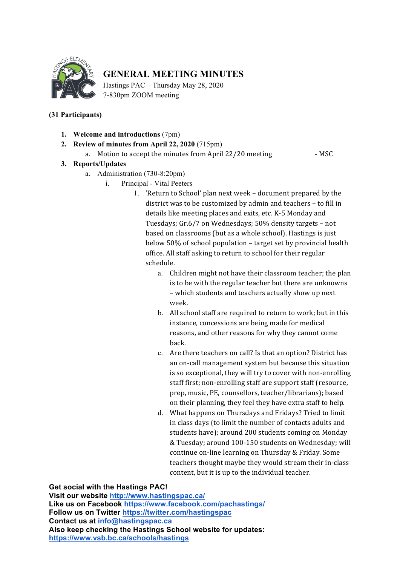

## **GENERAL MEETING MINUTES**

Hastings PAC – Thursday May 28, 2020 7-830pm ZOOM meeting

## **(31 Participants)**

- **1. Welcome and introductions** (7pm)
- **2. Review of minutes from April 22, 2020** (715pm)
	- a. Motion to accept the minutes from April 22/20 meeting MSC

## **3. Reports/Updates**

- a. Administration (730-8:20pm)
	- i. Principal Vital Peeters

1. 'Return to School' plan next week – document prepared by the district was to be customized by admin and teachers - to fill in details like meeting places and exits, etc. K-5 Monday and Tuesdays; Gr.6/7 on Wednesdays; 50% density targets - not based on classrooms (but as a whole school). Hastings is just below 50% of school population – target set by provincial health office. All staff asking to return to school for their regular schedule.

- a. Children might not have their classroom teacher; the plan is to be with the regular teacher but there are unknowns – which students and teachers actually show up next week.
- b. All school staff are required to return to work; but in this instance, concessions are being made for medical reasons, and other reasons for why they cannot come back.
- c. Are there teachers on call? Is that an option? District has an on-call management system but because this situation is so exceptional, they will try to cover with non-enrolling staff first; non-enrolling staff are support staff (resource, prep, music, PE, counsellors, teacher/librarians); based on their planning, they feel they have extra staff to help.
- d. What happens on Thursdays and Fridays? Tried to limit in class days (to limit the number of contacts adults and students have); around 200 students coming on Monday & Tuesday; around 100-150 students on Wednesday; will continue on-line learning on Thursday & Friday. Some teachers thought maybe they would stream their in-class content, but it is up to the individual teacher.

**Get social with the Hastings PAC!**

**Visit our website http://www.hastingspac.ca/ Like us on Facebook https://www.facebook.com/pachastings/ Follow us on Twitter https://twitter.com/hastingspac Contact us at info@hastingspac.ca Also keep checking the Hastings School website for updates: https://www.vsb.bc.ca/schools/hastings**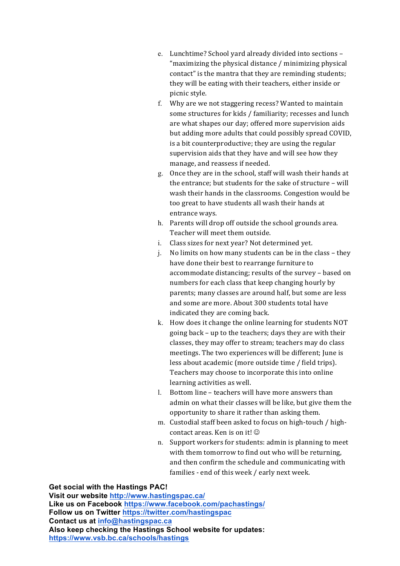- e. Lunchtime? School yard already divided into sections -"maximizing the physical distance  $/$  minimizing physical contact" is the mantra that they are reminding students; they will be eating with their teachers, either inside or picnic style.
- f. Why are we not staggering recess? Wanted to maintain some structures for kids / familiarity; recesses and lunch are what shapes our day; offered more supervision aids but adding more adults that could possibly spread COVID, is a bit counterproductive; they are using the regular supervision aids that they have and will see how they manage, and reassess if needed.
- g. Once they are in the school, staff will wash their hands at the entrance: but students for the sake of structure  $-$  will wash their hands in the classrooms. Congestion would be too great to have students all wash their hands at entrance ways.
- h. Parents will drop off outside the school grounds area. Teacher will meet them outside.
- i. Class sizes for next year? Not determined yet.
- j. No limits on how many students can be in the class they have done their best to rearrange furniture to accommodate distancing; results of the survey – based on numbers for each class that keep changing hourly by parents; many classes are around half, but some are less and some are more. About 300 students total have indicated they are coming back.
- k. How does it change the online learning for students NOT going back – up to the teachers; days they are with their classes, they may offer to stream; teachers may do class meetings. The two experiences will be different; June is less about academic (more outside time / field trips). Teachers may choose to incorporate this into online learning activities as well.
- l. Bottom line teachers will have more answers than admin on what their classes will be like, but give them the opportunity to share it rather than asking them.
- m. Custodial staff been asked to focus on high-touch / highcontact areas. Ken is on it!  $\odot$
- n. Support workers for students: admin is planning to meet with them tomorrow to find out who will be returning, and then confirm the schedule and communicating with families - end of this week / early next week.

**Get social with the Hastings PAC!**

**Visit our website http://www.hastingspac.ca/ Like us on Facebook https://www.facebook.com/pachastings/ Follow us on Twitter https://twitter.com/hastingspac Contact us at info@hastingspac.ca Also keep checking the Hastings School website for updates: https://www.vsb.bc.ca/schools/hastings**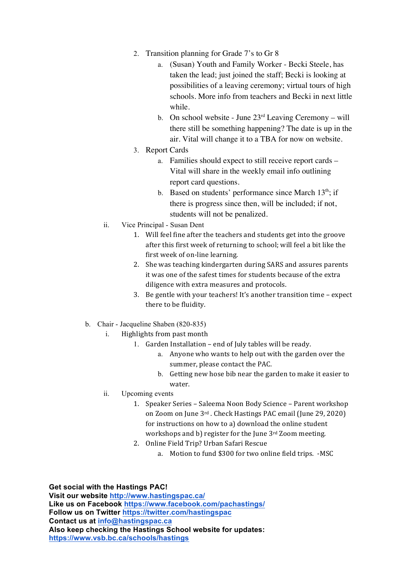- 2. Transition planning for Grade 7's to Gr 8
	- a. (Susan) Youth and Family Worker Becki Steele, has taken the lead; just joined the staff; Becki is looking at possibilities of a leaving ceremony; virtual tours of high schools. More info from teachers and Becki in next little while.
	- b. On school website June  $23<sup>rd</sup>$  Leaving Ceremony will there still be something happening? The date is up in the air. Vital will change it to a TBA for now on website.
- 3. Report Cards
	- a. Families should expect to still receive report cards Vital will share in the weekly email info outlining report card questions.
	- b. Based on students' performance since March  $13<sup>th</sup>$ ; if there is progress since then, will be included; if not, students will not be penalized.
- ii. Vice Principal Susan Dent
	- 1. Will feel fine after the teachers and students get into the groove after this first week of returning to school; will feel a bit like the first week of on-line learning.
	- 2. She was teaching kindergarten during SARS and assures parents it was one of the safest times for students because of the extra diligence with extra measures and protocols.
	- 3. Be gentle with your teachers! It's another transition time  $-$  expect there to be fluidity.
- b. Chair Jacqueline Shaben (820-835)
	- i. Highlights from past month
		- 1. Garden Installation end of July tables will be ready.
			- a. Anyone who wants to help out with the garden over the summer, please contact the PAC.
			- b. Getting new hose bib near the garden to make it easier to water.
	- ii. Upcoming events
		- 1. Speaker Series Saleema Noon Body Science Parent workshop on Zoom on June 3rd. Check Hastings PAC email (June 29, 2020) for instructions on how to a) download the online student workshops and b) register for the June  $3<sup>rd</sup>$  Zoom meeting.
		- 2. Online Field Trip? Urban Safari Rescue
			- a. Motion to fund \$300 for two online field trips. -MSC

**Get social with the Hastings PAC! Visit our website http://www.hastingspac.ca/ Like us on Facebook https://www.facebook.com/pachastings/ Follow us on Twitter https://twitter.com/hastingspac Contact us at info@hastingspac.ca Also keep checking the Hastings School website for updates: https://www.vsb.bc.ca/schools/hastings**